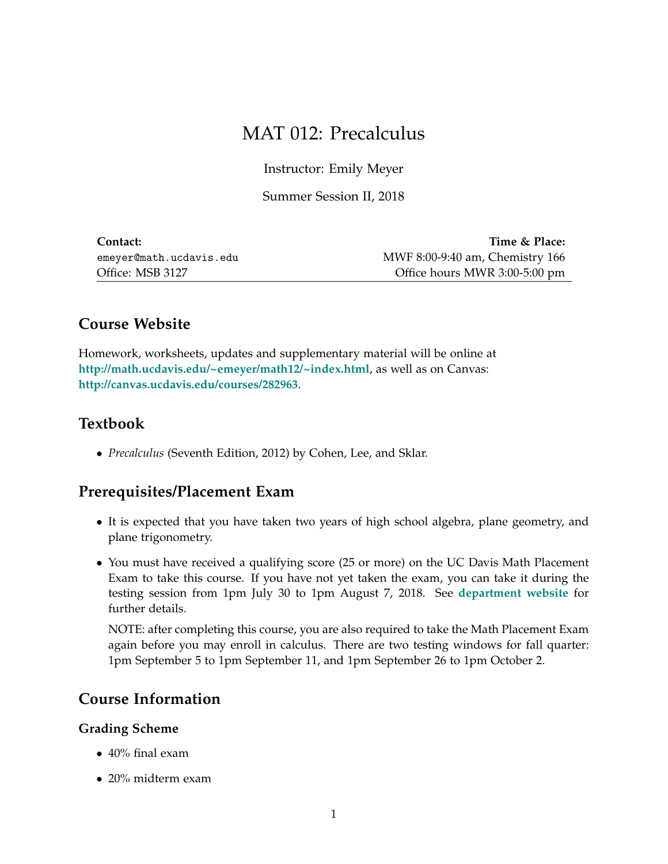# MAT 012: Precalculus

Instructor: Emily Meyer

Summer Session II, 2018

| Contact:                | Time & Place:                   |
|-------------------------|---------------------------------|
| emeyer@math.ucdavis.edu | MWF 8:00-9:40 am, Chemistry 166 |
| Office: MSB 3127        | Office hours MWR 3:00-5:00 pm   |

# **Course Website**

Homework, worksheets, updates and supplementary material will be online at **<http://math.ucdavis.edu/~emeyer/math12/~index.html>**, as well as on Canvas: **<http://canvas.ucdavis.edu/courses/282963>**.

### **Textbook**

• *Precalculus* (Seventh Edition, 2012) by Cohen, Lee, and Sklar.

### **Prerequisites/Placement Exam**

- It is expected that you have taken two years of high school algebra, plane geometry, and plane trigonometry.
- You must have received a qualifying score (25 or more) on the UC Davis Math Placement Exam to take this course. If you have not yet taken the exam, you can take it during the testing session from 1pm July 30 to 1pm August 7, 2018. See **[department website](https://www.math.ucdavis.edu/undergrad/math_placement)** for further details.

NOTE: after completing this course, you are also required to take the Math Placement Exam again before you may enroll in calculus. There are two testing windows for fall quarter: 1pm September 5 to 1pm September 11, and 1pm September 26 to 1pm October 2.

## **Course Information**

#### **Grading Scheme**

- 40% final exam
- 20% midterm exam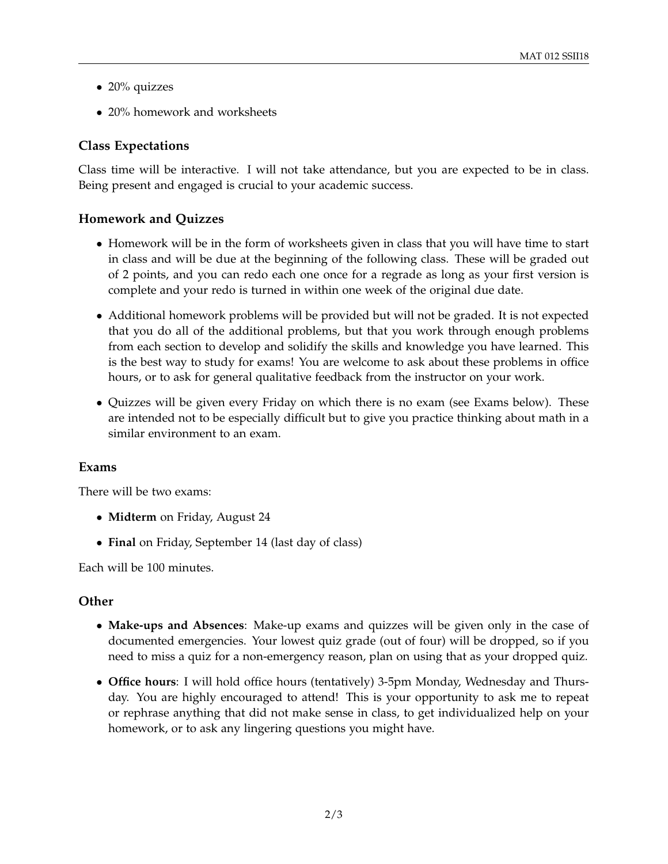- $\bullet$  20% quizzes
- 20% homework and worksheets

#### **Class Expectations**

Class time will be interactive. I will not take attendance, but you are expected to be in class. Being present and engaged is crucial to your academic success.

#### **Homework and Quizzes**

- Homework will be in the form of worksheets given in class that you will have time to start in class and will be due at the beginning of the following class. These will be graded out of 2 points, and you can redo each one once for a regrade as long as your first version is complete and your redo is turned in within one week of the original due date.
- Additional homework problems will be provided but will not be graded. It is not expected that you do all of the additional problems, but that you work through enough problems from each section to develop and solidify the skills and knowledge you have learned. This is the best way to study for exams! You are welcome to ask about these problems in office hours, or to ask for general qualitative feedback from the instructor on your work.
- Quizzes will be given every Friday on which there is no exam (see Exams below). These are intended not to be especially difficult but to give you practice thinking about math in a similar environment to an exam.

#### **Exams**

There will be two exams:

- **Midterm** on Friday, August 24
- **Final** on Friday, September 14 (last day of class)

Each will be 100 minutes.

#### **Other**

- **Make-ups and Absences**: Make-up exams and quizzes will be given only in the case of documented emergencies. Your lowest quiz grade (out of four) will be dropped, so if you need to miss a quiz for a non-emergency reason, plan on using that as your dropped quiz.
- **Office hours**: I will hold office hours (tentatively) 3-5pm Monday, Wednesday and Thursday. You are highly encouraged to attend! This is your opportunity to ask me to repeat or rephrase anything that did not make sense in class, to get individualized help on your homework, or to ask any lingering questions you might have.